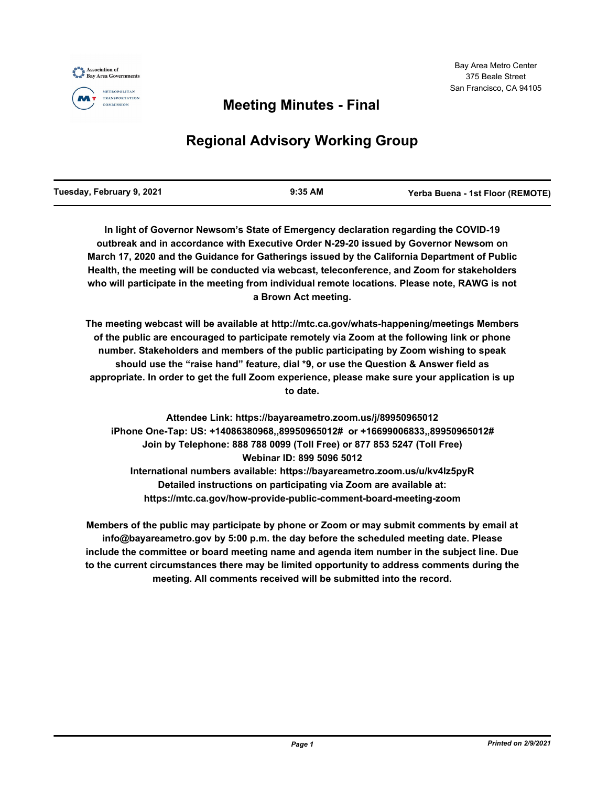



#### **METROPOLITAN TRANSPORTATION** COMMISSION

## **Meeting Minutes - Final**

# **Regional Advisory Working Group**

**In light of Governor Newsom's State of Emergency declaration regarding the COVID-19 outbreak and in accordance with Executive Order N-29-20 issued by Governor Newsom on March 17, 2020 and the Guidance for Gatherings issued by the California Department of Public Health, the meeting will be conducted via webcast, teleconference, and Zoom for stakeholders who will participate in the meeting from individual remote locations. Please note, RAWG is not a Brown Act meeting.**

**The meeting webcast will be available at http://mtc.ca.gov/whats-happening/meetings Members of the public are encouraged to participate remotely via Zoom at the following link or phone number. Stakeholders and members of the public participating by Zoom wishing to speak should use the "raise hand" feature, dial \*9, or use the Question & Answer field as appropriate. In order to get the full Zoom experience, please make sure your application is up to date.**

**Attendee Link: https://bayareametro.zoom.us/j/89950965012 iPhone One-Tap: US: +14086380968,,89950965012# or +16699006833,,89950965012# Join by Telephone: 888 788 0099 (Toll Free) or 877 853 5247 (Toll Free) Webinar ID: 899 5096 5012 International numbers available: https://bayareametro.zoom.us/u/kv4Iz5pyR Detailed instructions on participating via Zoom are available at: https://mtc.ca.gov/how-provide-public-comment-board-meeting-zoom**

**Members of the public may participate by phone or Zoom or may submit comments by email at info@bayareametro.gov by 5:00 p.m. the day before the scheduled meeting date. Please include the committee or board meeting name and agenda item number in the subject line. Due to the current circumstances there may be limited opportunity to address comments during the meeting. All comments received will be submitted into the record.**